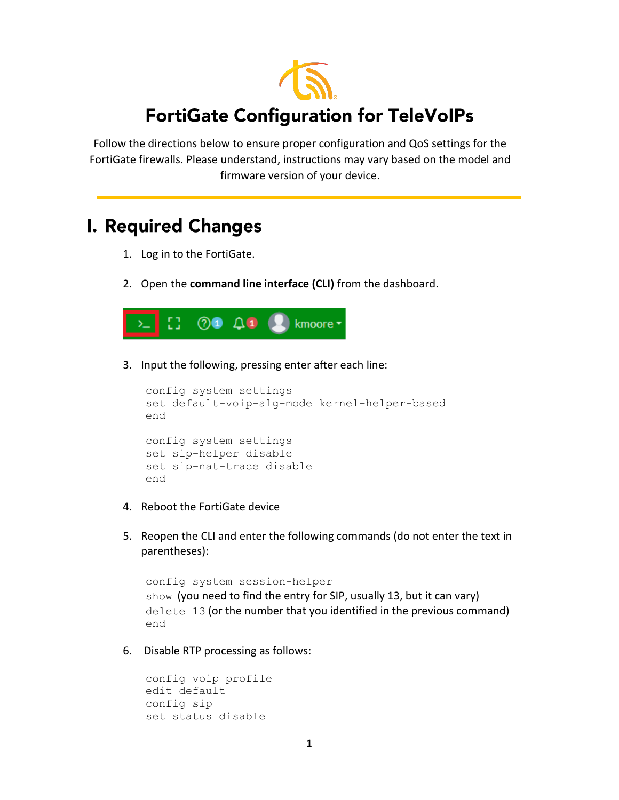

Follow the directions below to ensure proper configuration and QoS settings for the FortiGate firewalls. Please understand, instructions may vary based on the model and firmware version of your device.

## **I. Required Changes**

- 1. Log in to the FortiGate.
- 2. Open the **command line interface (CLI)** from the dashboard.



3. Input the following, pressing enter after each line:

```
config system settings
set default-voip-alg-mode kernel-helper-based
end
config system settings
set sip-helper disable
set sip-nat-trace disable
end
```
- 4. Reboot the FortiGate device
- 5. Reopen the CLI and enter the following commands (do not enter the text in parentheses):

```
config system session-helper
show (you need to find the entry for SIP, usually 13, but it can vary)
delete 13 (or the number that you identified in the previous command)
end
```
6. Disable RTP processing as follows:

```
config voip profile
edit default
config sip
set status disable
```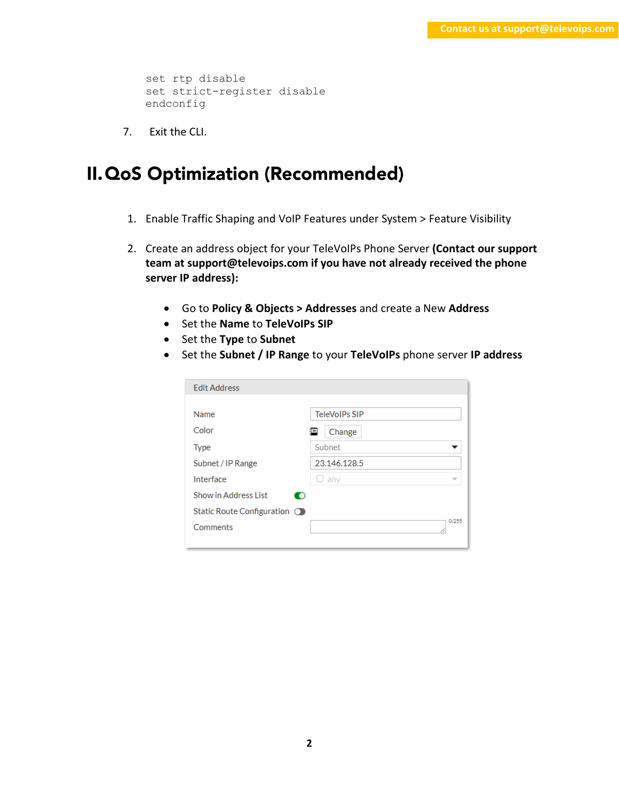```
set rtp disable
set strict-register disable
endconfig
```
7. Exit the CLI.

## **II. QoS Optimization (Recommended)**

- 1. Enable Traffic Shaping and VoIP Features under System > Feature Visibility
- 2. Create an address object for your TeleVoIPs Phone Server **(Contact our support team at support@televoips.com if you have not already received the phone server IP address):** 
	- Go to **Policy & Objects > Addresses** and create a New **Address**
	- Set the **Name** to **TeleVoIPs SIP**
	- Set the **Type** to **Subnet**
	- Set the **Subnet / IP Range** to your **TeleVoIPs** phone server **IP address**

| <b>Edit Address</b>          |                      |
|------------------------------|----------------------|
|                              |                      |
| Name                         | <b>TeleVoIPs SIP</b> |
| Color                        | 洄<br>Change          |
| <b>Type</b>                  | Subnet               |
| Subnet / IP Range            | 23.146.128.5         |
| Interface                    | any                  |
| Show in Address List<br>O    |                      |
| Static Route Configuration O |                      |
| Comments                     | 0/255                |
|                              |                      |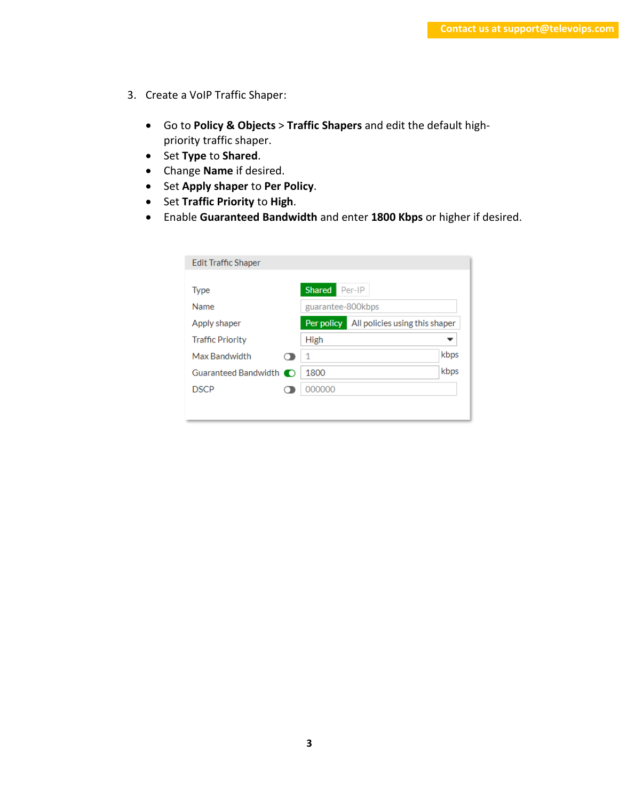- 3. Create a VoIP Traffic Shaper:
	- Go to **Policy & Objects** > **Traffic Shapers** and edit the default highpriority traffic shaper.
	- Set **Type** to **Shared**.
	- Change **Name** if desired.
	- Set **Apply shaper** to **Per Policy**.
	- Set **Traffic Priority** to **High**.
	- Enable **Guaranteed Bandwidth** and enter **1800 Kbps** or higher if desired.

| <b>Edit Traffic Shaper</b>             |                                |
|----------------------------------------|--------------------------------|
| <b>Shared</b><br>Per-IP<br><b>Type</b> |                                |
| Name<br>guarantee-800kbps              |                                |
| Per policy<br>Apply shaper             | All policies using this shaper |
| <b>Traffic Priority</b><br>High        |                                |
| Max Bandwidth<br>$\mathbf 1$           | kbps                           |
| 1800                                   | kbps                           |
| <b>DSCP</b><br>000000                  |                                |
|                                        |                                |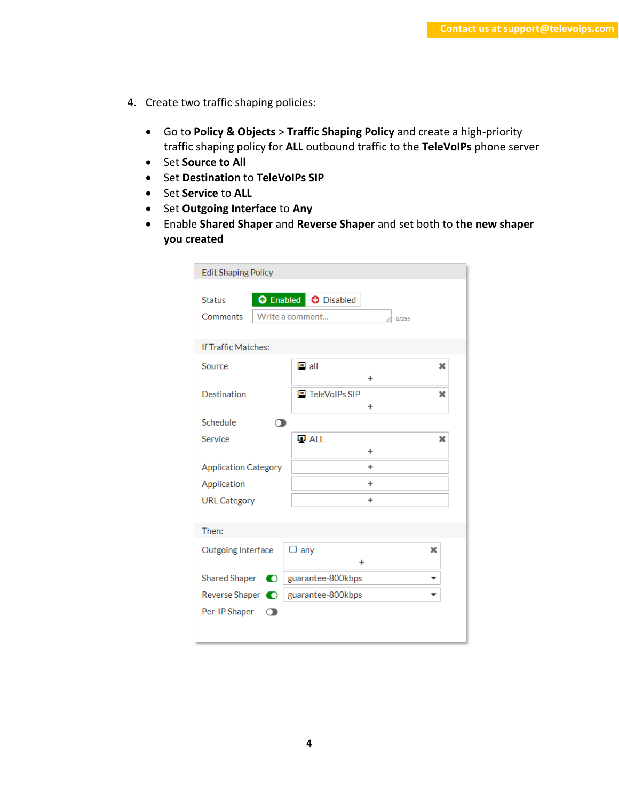- 4. Create two traffic shaping policies:
	- Go to **Policy & Objects** > **Traffic Shaping Policy** and create a high-priority traffic shaping policy for **ALL** outbound traffic to the **TeleVoIPs** phone server
	- Set **Source to All**
	- Set **Destination** to **TeleVoIPs SIP**
	- Set **Service** to **ALL**
	- Set **Outgoing Interface** to **Any**
	- Enable **Shared Shaper** and **Reverse Shaper** and set both to **the new shaper you created**

| <b>Edit Shaping Policy</b>  |                                                                |  |  |  |
|-----------------------------|----------------------------------------------------------------|--|--|--|
| <b>Status</b><br>Comments   | <b>O</b> Enabled <b>O</b> Disabled<br>Write a comment<br>0/255 |  |  |  |
| If Traffic Matches:         |                                                                |  |  |  |
| Source                      | 国 all<br>×<br>٠                                                |  |  |  |
| Destination                 | 目 TeleVoIPs SIP<br>×<br>٠                                      |  |  |  |
| Schedule                    |                                                                |  |  |  |
| Service                     | <b>Q</b> ALL<br>×<br>٠                                         |  |  |  |
| <b>Application Category</b> | ٠                                                              |  |  |  |
| Application                 | ٠                                                              |  |  |  |
| <b>URL Category</b>         | ٠                                                              |  |  |  |
| Then:                       |                                                                |  |  |  |
| Outgoing Interface          | ⊃ any<br>×<br>۰                                                |  |  |  |
| <b>Shared Shaper</b><br>O   | guarantee-800kbps                                              |  |  |  |
|                             | guarantee-800kbps                                              |  |  |  |
| Per-IP Shaper<br>$\bigcap$  |                                                                |  |  |  |